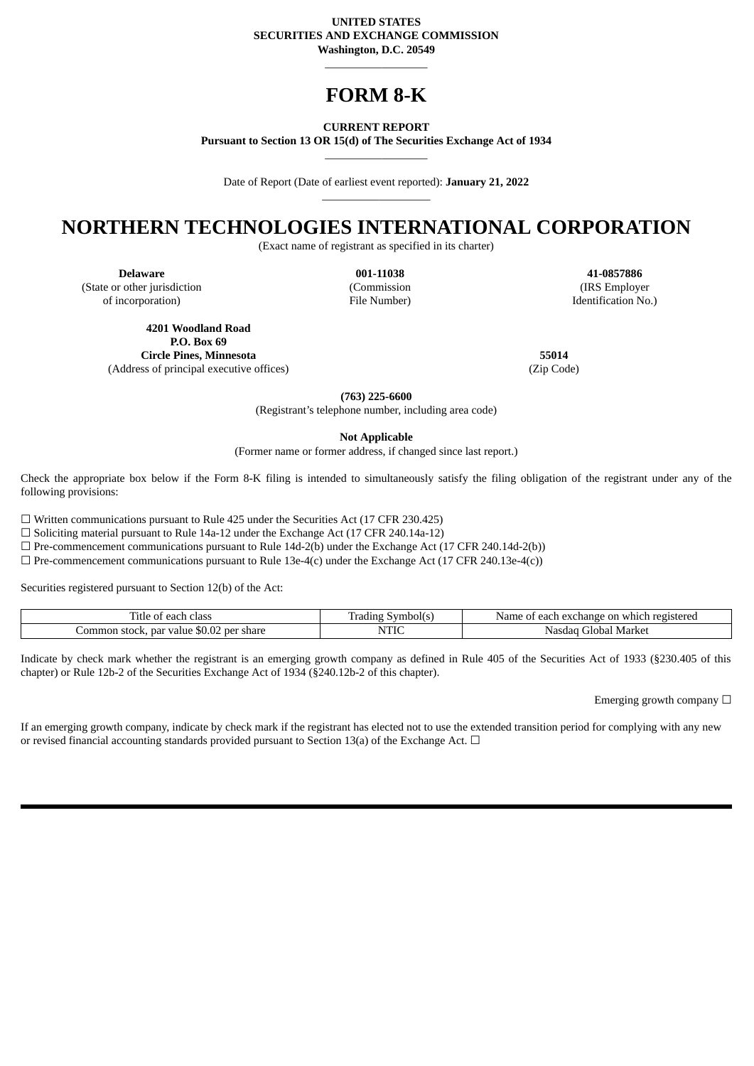#### **UNITED STATES SECURITIES AND EXCHANGE COMMISSION Washington, D.C. 20549**

# **FORM 8-K**

\_\_\_\_\_\_\_\_\_\_\_\_\_\_\_\_\_\_

**CURRENT REPORT**

**Pursuant to Section 13 OR 15(d) of The Securities Exchange Act of 1934**  $\_$ 

Date of Report (Date of earliest event reported): **January 21, 2022** \_\_\_\_\_\_\_\_\_\_\_\_\_\_\_\_\_\_\_

## **NORTHERN TECHNOLOGIES INTERNATIONAL CORPORATION**

(Exact name of registrant as specified in its charter)

(State or other jurisdiction of incorporation)

(Commission File Number)

**Delaware 001-11038 41-0857886** (IRS Employer Identification No.)

**4201 Woodland Road P.O. Box 69 Circle Pines, Minnesota 55014** (Address of principal executive offices) (Zip Code)

**(763) 225-6600**

(Registrant's telephone number, including area code)

**Not Applicable**

(Former name or former address, if changed since last report.)

Check the appropriate box below if the Form 8-K filing is intended to simultaneously satisfy the filing obligation of the registrant under any of the following provisions:

☐ Written communications pursuant to Rule 425 under the Securities Act (17 CFR 230.425)

 $\square$  Soliciting material pursuant to Rule 14a-12 under the Exchange Act (17 CFR 240.14a-12)

 $\Box$  Pre-commencement communications pursuant to Rule 14d-2(b) under the Exchange Act (17 CFR 240.14d-2(b))

 $\Box$  Pre-commencement communications pursuant to Rule 13e-4(c) under the Exchange Act (17 CFR 240.13e-4(c))

Securities registered pursuant to Section 12(b) of the Act:

| ritle<br>class<br>each :                                          | radıns<br>ovmbol(۰ | registereg<br>. Jame -<br>on<br>each<br>r exchange<br>which<br>$\cdot$ |
|-------------------------------------------------------------------|--------------------|------------------------------------------------------------------------|
| $\sim$<br>: per share<br>ommon<br>nar<br>value<br>stock.<br>.M.UZ | MTTT<br>11 L L     | Market<br>Global<br>Nasdac                                             |

Indicate by check mark whether the registrant is an emerging growth company as defined in Rule 405 of the Securities Act of 1933 (§230.405 of this chapter) or Rule 12b-2 of the Securities Exchange Act of 1934 (§240.12b-2 of this chapter).

Emerging growth company  $\Box$ 

If an emerging growth company, indicate by check mark if the registrant has elected not to use the extended transition period for complying with any new or revised financial accounting standards provided pursuant to Section 13(a) of the Exchange Act.  $\Box$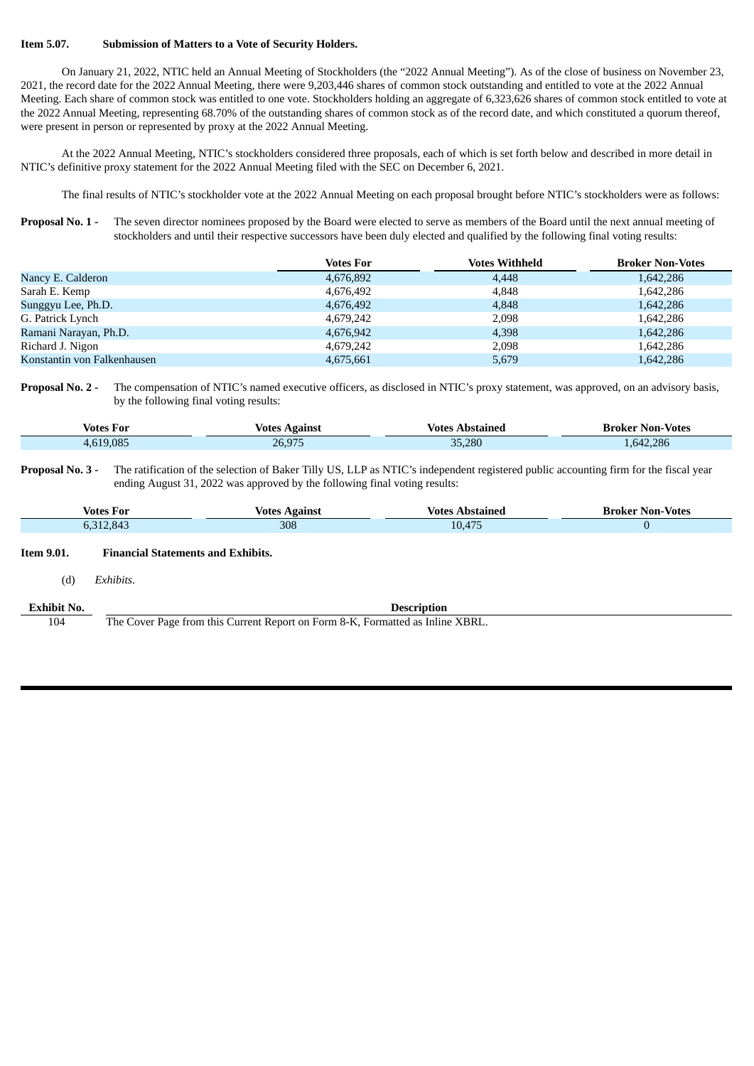#### **Item 5.07. Submission of Matters to a Vote of Security Holders.**

On January 21, 2022, NTIC held an Annual Meeting of Stockholders (the "2022 Annual Meeting"). As of the close of business on November 23, 2021, the record date for the 2022 Annual Meeting, there were 9,203,446 shares of common stock outstanding and entitled to vote at the 2022 Annual Meeting. Each share of common stock was entitled to one vote. Stockholders holding an aggregate of 6,323,626 shares of common stock entitled to vote at the 2022 Annual Meeting, representing 68.70% of the outstanding shares of common stock as of the record date, and which constituted a quorum thereof, were present in person or represented by proxy at the 2022 Annual Meeting.

At the 2022 Annual Meeting, NTIC's stockholders considered three proposals, each of which is set forth below and described in more detail in NTIC's definitive proxy statement for the 2022 Annual Meeting filed with the SEC on December 6, 2021.

The final results of NTIC's stockholder vote at the 2022 Annual Meeting on each proposal brought before NTIC's stockholders were as follows:

**Proposal No. 1 -** The seven director nominees proposed by the Board were elected to serve as members of the Board until the next annual meeting of stockholders and until their respective successors have been duly elected and qualified by the following final voting results:

|                             | <b>Votes For</b> | <b>Votes Withheld</b> | <b>Broker Non-Votes</b> |
|-----------------------------|------------------|-----------------------|-------------------------|
| Nancy E. Calderon           | 4,676,892        | 4,448                 | 1,642,286               |
| Sarah E. Kemp               | 4,676,492        | 4,848                 | 1,642,286               |
| Sunggyu Lee, Ph.D.          | 4,676,492        | 4,848                 | 1,642,286               |
| G. Patrick Lynch            | 4,679,242        | 2,098                 | 1,642,286               |
| Ramani Narayan, Ph.D.       | 4,676,942        | 4,398                 | 1,642,286               |
| Richard J. Nigon            | 4,679,242        | 2,098                 | 1,642,286               |
| Konstantin von Falkenhausen | 4,675,661        | 5,679                 | 1,642,286               |

**Proposal No. 2 -** The compensation of NTIC's named executive officers, as disclosed in NTIC's proxy statement, was approved, on an advisory basis, by the following final voting results:

| Votes For | Votes<br>Against | Abstained<br>Votes | Broker Non-Votes |
|-----------|------------------|--------------------|------------------|
| 4.619.085 | 26,975           | 35,280             | 1.642.286        |

**Proposal No. 3 -** The ratification of the selection of Baker Tilly US, LLP as NTIC's independent registered public accounting firm for the fiscal year ending August 31, 2022 was approved by the following final voting results:

| Votes For | Votes<br>. Againe' | Vote<br><b>000</b> | Non-<br>- Votes<br>roker |
|-----------|--------------------|--------------------|--------------------------|
| oΖ        | 308                |                    |                          |

**Description** 

## **Item 9.01. Financial Statements and Exhibits.**

(d) *Exhibits*.

104 The Cover Page from this Current Report on Form 8-K, Formatted as Inline XBRL.